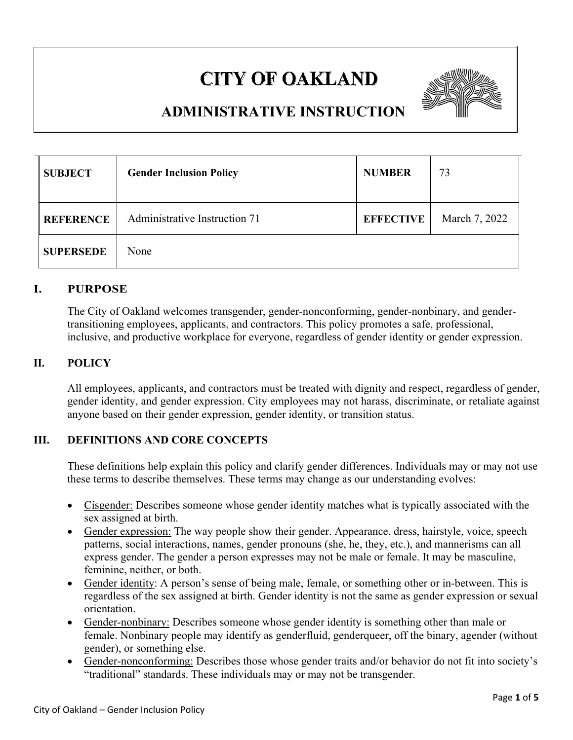# **CITY OF OAKLAND**



## **ADMINISTRATIVE INSTRUCTION**

| <b>SUBJECT</b>   | <b>Gender Inclusion Policy</b> | <b>NUMBER</b>    | 73            |
|------------------|--------------------------------|------------------|---------------|
| <b>REFERENCE</b> | Administrative Instruction 71  | <b>EFFECTIVE</b> | March 7, 2022 |
| <b>SUPERSEDE</b> | None                           |                  |               |

#### **I. PURPOSE**

The City of Oakland welcomes transgender, gender-nonconforming, gender-nonbinary, and gendertransitioning employees, applicants, and contractors. This policy promotes a safe, professional, inclusive, and productive workplace for everyone, regardless of gender identity or gender expression.

### **II. POLICY**

All employees, applicants, and contractors must be treated with dignity and respect, regardless of gender, gender identity, and gender expression. City employees may not harass, discriminate, or retaliate against anyone based on their gender expression, gender identity, or transition status.

#### **III. DEFINITIONS AND CORE CONCEPTS**

These definitions help explain this policy and clarify gender differences. Individuals may or may not use these terms to describe themselves. These terms may change as our understanding evolves:

- Cisgender: Describes someone whose gender identity matches what is typically associated with the sex assigned at birth.
- Gender expression: The way people show their gender. Appearance, dress, hairstyle, voice, speech patterns, social interactions, names, gender pronouns (she, he, they, etc.), and mannerisms can all express gender. The gender a person expresses may not be male or female. It may be masculine, feminine, neither, or both.
- Gender identity: A person's sense of being male, female, or something other or in-between. This is regardless of the sex assigned at birth. Gender identity is not the same as gender expression or sexual orientation.
- Gender-nonbinary: Describes someone whose gender identity is something other than male or female. Nonbinary people may identify as genderfluid, genderqueer, off the binary, agender (without gender), or something else.
- Gender-nonconforming: Describes those whose gender traits and/or behavior do not fit into society's "traditional" standards. These individuals may or may not be transgender.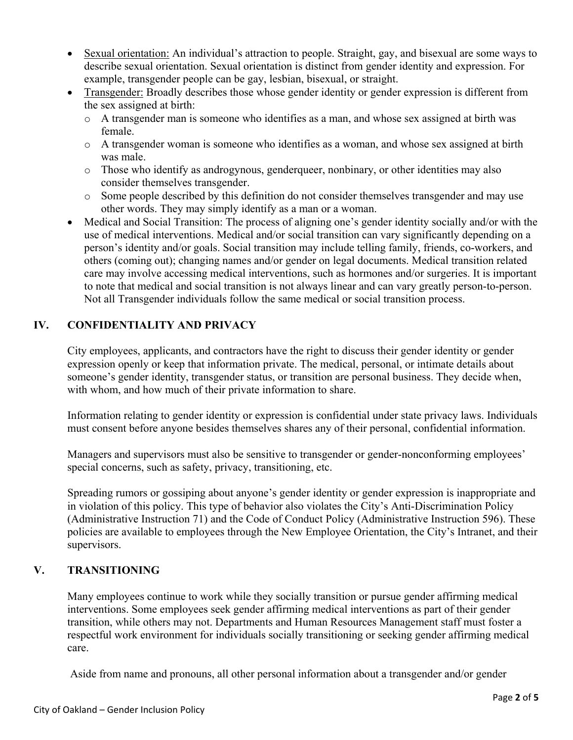- Sexual orientation: An individual's attraction to people. Straight, gay, and bisexual are some ways to describe sexual orientation. Sexual orientation is distinct from gender identity and expression. For example, transgender people can be gay, lesbian, bisexual, or straight.
- Transgender: Broadly describes those whose gender identity or gender expression is different from the sex assigned at birth:
	- o A transgender man is someone who identifies as a man, and whose sex assigned at birth was female.
	- o A transgender woman is someone who identifies as a woman, and whose sex assigned at birth was male.
	- o Those who identify as androgynous, genderqueer, nonbinary, or other identities may also consider themselves transgender.
	- o Some people described by this definition do not consider themselves transgender and may use other words. They may simply identify as a man or a woman.
- Medical and Social Transition: The process of aligning one's gender identity socially and/or with the use of medical interventions. Medical and/or social transition can vary significantly depending on a person's identity and/or goals. Social transition may include telling family, friends, co-workers, and others (coming out); changing names and/or gender on legal documents. Medical transition related care may involve accessing medical interventions, such as hormones and/or surgeries. It is important to note that medical and social transition is not always linear and can vary greatly person-to-person. Not all Transgender individuals follow the same medical or social transition process.

### **IV. CONFIDENTIALITY AND PRIVACY**

City employees, applicants, and contractors have the right to discuss their gender identity or gender expression openly or keep that information private. The medical, personal, or intimate details about someone's gender identity, transgender status, or transition are personal business. They decide when, with whom, and how much of their private information to share.

Information relating to gender identity or expression is confidential under state privacy laws. Individuals must consent before anyone besides themselves shares any of their personal, confidential information.

Managers and supervisors must also be sensitive to transgender or gender-nonconforming employees' special concerns, such as safety, privacy, transitioning, etc.

Spreading rumors or gossiping about anyone's gender identity or gender expression is inappropriate and in violation of this policy. This type of behavior also violates the City's Anti-Discrimination Policy (Administrative Instruction 71) and the Code of Conduct Policy (Administrative Instruction 596). These policies are available to employees through the New Employee Orientation, the City's Intranet, and their supervisors.

#### **V. TRANSITIONING**

Many employees continue to work while they socially transition or pursue gender affirming medical interventions. Some employees seek gender affirming medical interventions as part of their gender transition, while others may not. Departments and Human Resources Management staff must foster a respectful work environment for individuals socially transitioning or seeking gender affirming medical care.

Aside from name and pronouns, all other personal information about a transgender and/or gender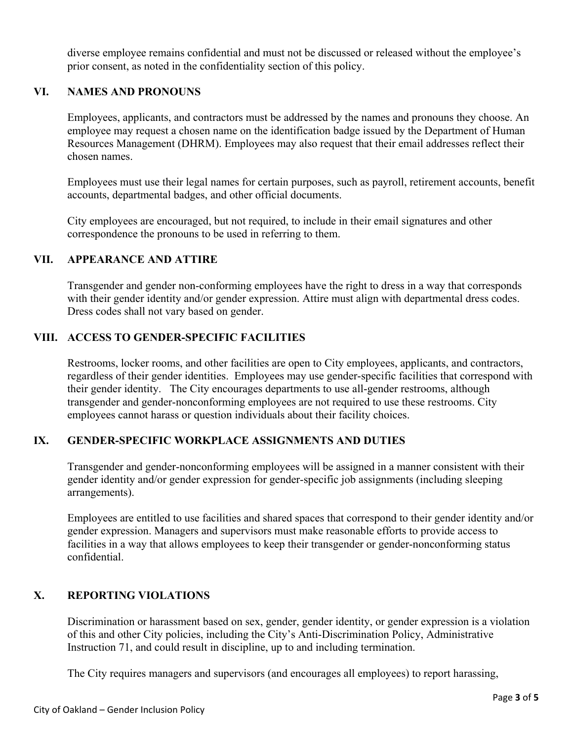diverse employee remains confidential and must not be discussed or released without the employee's prior consent, as noted in the confidentiality section of this policy.

#### **VI. NAMES AND PRONOUNS**

Employees, applicants, and contractors must be addressed by the names and pronouns they choose. An employee may request a chosen name on the identification badge issued by the Department of Human Resources Management (DHRM). Employees may also request that their email addresses reflect their chosen names.

Employees must use their legal names for certain purposes, such as payroll, retirement accounts, benefit accounts, departmental badges, and other official documents.

City employees are encouraged, but not required, to include in their email signatures and other correspondence the pronouns to be used in referring to them.

#### **VII. APPEARANCE AND ATTIRE**

Transgender and gender non-conforming employees have the right to dress in a way that corresponds with their gender identity and/or gender expression. Attire must align with departmental dress codes. Dress codes shall not vary based on gender.

#### **VIII. ACCESS TO GENDER-SPECIFIC FACILITIES**

Restrooms, locker rooms, and other facilities are open to City employees, applicants, and contractors, regardless of their gender identities. Employees may use gender-specific facilities that correspond with their gender identity. The City encourages departments to use all-gender restrooms, although transgender and gender-nonconforming employees are not required to use these restrooms. City employees cannot harass or question individuals about their facility choices.

#### **IX. GENDER-SPECIFIC WORKPLACE ASSIGNMENTS AND DUTIES**

Transgender and gender-nonconforming employees will be assigned in a manner consistent with their gender identity and/or gender expression for gender-specific job assignments (including sleeping arrangements).

Employees are entitled to use facilities and shared spaces that correspond to their gender identity and/or gender expression. Managers and supervisors must make reasonable efforts to provide access to facilities in a way that allows employees to keep their transgender or gender-nonconforming status confidential.

#### **X. REPORTING VIOLATIONS**

Discrimination or harassment based on sex, gender, gender identity, or gender expression is a violation of this and other City policies, including the City's Anti-Discrimination Policy, Administrative Instruction 71, and could result in discipline, up to and including termination.

The City requires managers and supervisors (and encourages all employees) to report harassing,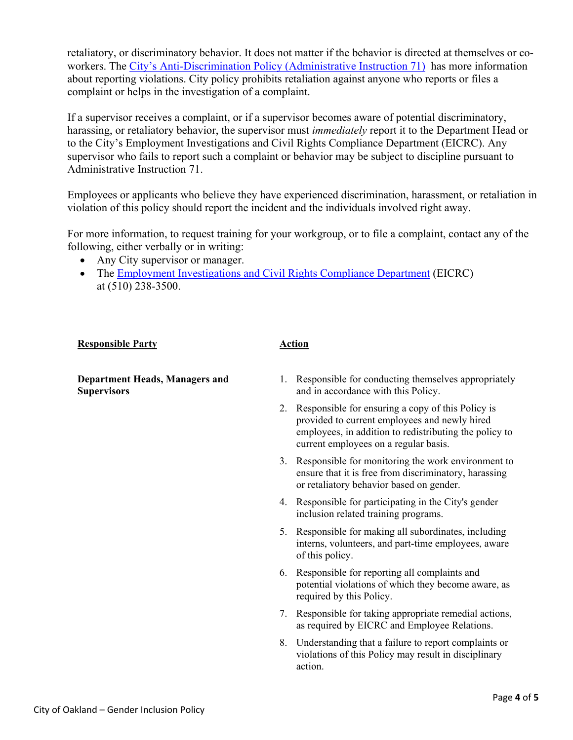retaliatory, or discriminatory behavior. It does not matter if the behavior is directed at themselves or coworkers. The City's Anti-Discrimination Policy (Administrative Instruction 71) has more information about reporting violations. City policy prohibits retaliation against anyone who reports or files a complaint or helps in the investigation of a complaint.

If a supervisor receives a complaint, or if a supervisor becomes aware of potential discriminatory, harassing, or retaliatory behavior, the supervisor must *immediately* report it to the Department Head or to the City's Employment Investigations and Civil Rights Compliance Department (EICRC). Any supervisor who fails to report such a complaint or behavior may be subject to discipline pursuant to Administrative Instruction 71.

Employees or applicants who believe they have experienced discrimination, harassment, or retaliation in violation of this policy should report the incident and the individuals involved right away.

For more information, to request training for your workgroup, or to file a complaint, contact any of the following, either verbally or in writing:

- Any City supervisor or manager.
- The Employment Investigations and Civil Rights Compliance Department (EICRC) at (510) 238-3500.

#### **Responsible Party 4.1 Action**

**Department Heads, Managers and Supervisors** 

- 1. Responsible for conducting themselves appropriately and in accordance with this Policy.
- 2. Responsible for ensuring a copy of this Policy is provided to current employees and newly hired employees, in addition to redistributing the policy to current employees on a regular basis.
- 3. Responsible for monitoring the work environment to ensure that it is free from discriminatory, harassing or retaliatory behavior based on gender.
- 4. Responsible for participating in the City's gender inclusion related training programs.
- 5. Responsible for making all subordinates, including interns, volunteers, and part-time employees, aware of this policy.
- 6. Responsible for reporting all complaints and potential violations of which they become aware, as required by this Policy.
- 7. Responsible for taking appropriate remedial actions, as required by EICRC and Employee Relations.
- 8. Understanding that a failure to report complaints or violations of this Policy may result in disciplinary action.